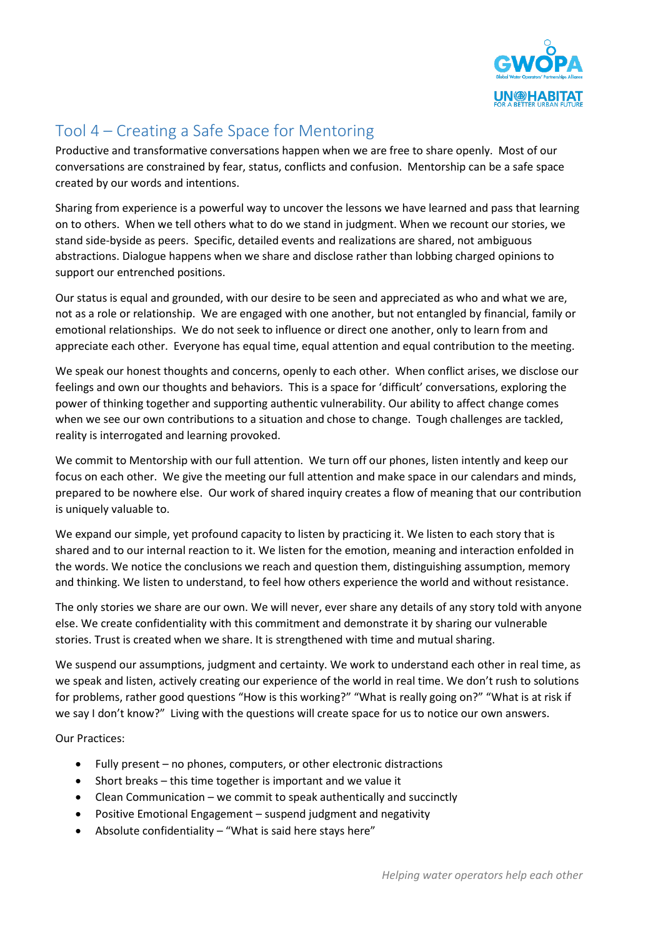

## Tool 4 – Creating a Safe Space for Mentoring

Productive and transformative conversations happen when we are free to share openly. Most of our conversations are constrained by fear, status, conflicts and confusion. Mentorship can be a safe space created by our words and intentions.

Sharing from experience is a powerful way to uncover the lessons we have learned and pass that learning on to others. When we tell others what to do we stand in judgment. When we recount our stories, we stand side-byside as peers. Specific, detailed events and realizations are shared, not ambiguous abstractions. Dialogue happens when we share and disclose rather than lobbing charged opinions to support our entrenched positions.

Our status is equal and grounded, with our desire to be seen and appreciated as who and what we are, not as a role or relationship. We are engaged with one another, but not entangled by financial, family or emotional relationships. We do not seek to influence or direct one another, only to learn from and appreciate each other. Everyone has equal time, equal attention and equal contribution to the meeting.

We speak our honest thoughts and concerns, openly to each other. When conflict arises, we disclose our feelings and own our thoughts and behaviors. This is a space for 'difficult' conversations, exploring the power of thinking together and supporting authentic vulnerability. Our ability to affect change comes when we see our own contributions to a situation and chose to change. Tough challenges are tackled, reality is interrogated and learning provoked.

We commit to Mentorship with our full attention. We turn off our phones, listen intently and keep our focus on each other. We give the meeting our full attention and make space in our calendars and minds, prepared to be nowhere else. Our work of shared inquiry creates a flow of meaning that our contribution is uniquely valuable to.

We expand our simple, yet profound capacity to listen by practicing it. We listen to each story that is shared and to our internal reaction to it. We listen for the emotion, meaning and interaction enfolded in the words. We notice the conclusions we reach and question them, distinguishing assumption, memory and thinking. We listen to understand, to feel how others experience the world and without resistance.

The only stories we share are our own. We will never, ever share any details of any story told with anyone else. We create confidentiality with this commitment and demonstrate it by sharing our vulnerable stories. Trust is created when we share. It is strengthened with time and mutual sharing.

We suspend our assumptions, judgment and certainty. We work to understand each other in real time, as we speak and listen, actively creating our experience of the world in real time. We don't rush to solutions for problems, rather good questions "How is this working?" "What is really going on?" "What is at risk if we say I don't know?" Living with the questions will create space for us to notice our own answers.

Our Practices:

- Fully present no phones, computers, or other electronic distractions
- Short breaks this time together is important and we value it
- Clean Communication we commit to speak authentically and succinctly
- Positive Emotional Engagement suspend judgment and negativity
- Absolute confidentiality "What is said here stays here"